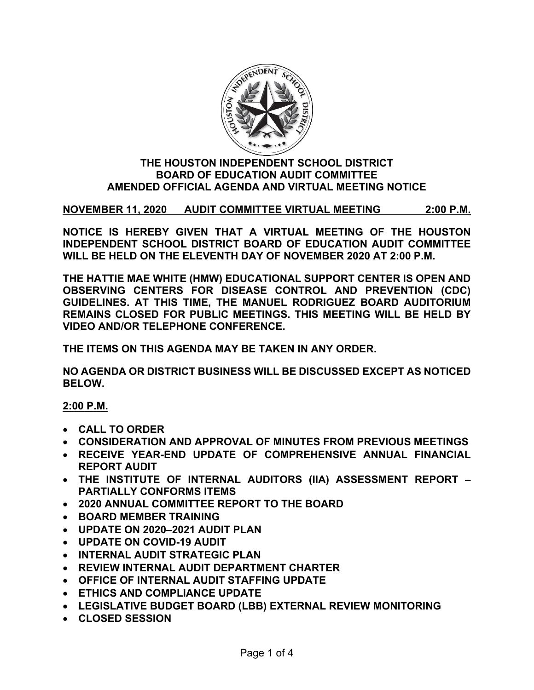

## **THE HOUSTON INDEPENDENT SCHOOL DISTRICT BOARD OF EDUCATION AUDIT COMMITTEE AMENDED OFFICIAL AGENDA AND VIRTUAL MEETING NOTICE**

# **NOVEMBER 11, 2020 AUDIT COMMITTEE VIRTUAL MEETING 2:00 P.M.**

**NOTICE IS HEREBY GIVEN THAT A VIRTUAL MEETING OF THE HOUSTON INDEPENDENT SCHOOL DISTRICT BOARD OF EDUCATION AUDIT COMMITTEE WILL BE HELD ON THE ELEVENTH DAY OF NOVEMBER 2020 AT 2:00 P.M.**

**THE HATTIE MAE WHITE (HMW) EDUCATIONAL SUPPORT CENTER IS OPEN AND OBSERVING CENTERS FOR DISEASE CONTROL AND PREVENTION (CDC) GUIDELINES. AT THIS TIME, THE MANUEL RODRIGUEZ BOARD AUDITORIUM REMAINS CLOSED FOR PUBLIC MEETINGS. THIS MEETING WILL BE HELD BY VIDEO AND/OR TELEPHONE CONFERENCE.**

**THE ITEMS ON THIS AGENDA MAY BE TAKEN IN ANY ORDER.**

**NO AGENDA OR DISTRICT BUSINESS WILL BE DISCUSSED EXCEPT AS NOTICED BELOW.**

# **2:00 P.M.**

- **CALL TO ORDER**
- **CONSIDERATION AND APPROVAL OF MINUTES FROM PREVIOUS MEETINGS**
- **RECEIVE YEAR-END UPDATE OF COMPREHENSIVE ANNUAL FINANCIAL REPORT AUDIT**
- **THE INSTITUTE OF INTERNAL AUDITORS (IIA) ASSESSMENT REPORT PARTIALLY CONFORMS ITEMS**
- **2020 ANNUAL COMMITTEE REPORT TO THE BOARD**
- **BOARD MEMBER TRAINING**
- **UPDATE ON 2020–2021 AUDIT PLAN**
- **UPDATE ON COVID-19 AUDIT**
- **INTERNAL AUDIT STRATEGIC PLAN**
- **REVIEW INTERNAL AUDIT DEPARTMENT CHARTER**
- **OFFICE OF INTERNAL AUDIT STAFFING UPDATE**
- **ETHICS AND COMPLIANCE UPDATE**
- **LEGISLATIVE BUDGET BOARD (LBB) EXTERNAL REVIEW MONITORING**
- **CLOSED SESSION**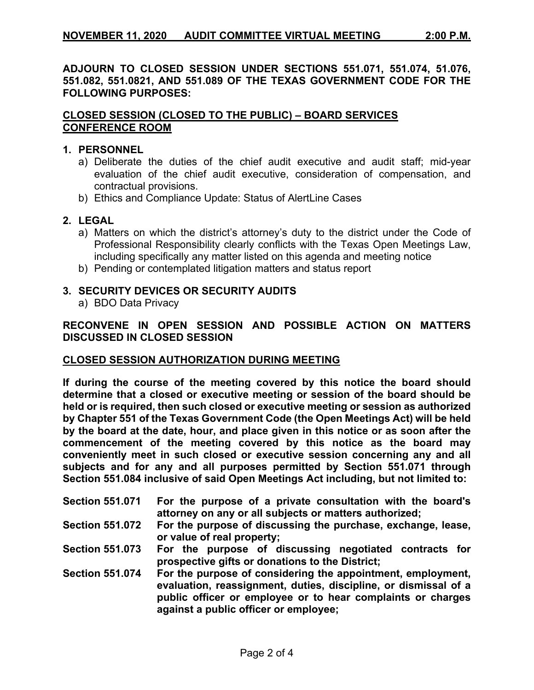**ADJOURN TO CLOSED SESSION UNDER SECTIONS 551.071, 551.074, 51.076, 551.082, 551.0821, AND 551.089 OF THE TEXAS GOVERNMENT CODE FOR THE FOLLOWING PURPOSES:**

## **CLOSED SESSION (CLOSED TO THE PUBLIC) – BOARD SERVICES CONFERENCE ROOM**

### **1. PERSONNEL**

- a) Deliberate the duties of the chief audit executive and audit staff; mid-year evaluation of the chief audit executive, consideration of compensation, and contractual provisions.
- b) Ethics and Compliance Update: Status of AlertLine Cases

## **2. LEGAL**

- a) Matters on which the district's attorney's duty to the district under the Code of Professional Responsibility clearly conflicts with the Texas Open Meetings Law, including specifically any matter listed on this agenda and meeting notice
- b) Pending or contemplated litigation matters and status report

#### **3. SECURITY DEVICES OR SECURITY AUDITS**

a) BDO Data Privacy

### **RECONVENE IN OPEN SESSION AND POSSIBLE ACTION ON MATTERS DISCUSSED IN CLOSED SESSION**

#### **CLOSED SESSION AUTHORIZATION DURING MEETING**

**If during the course of the meeting covered by this notice the board should determine that a closed or executive meeting or session of the board should be held or is required, then such closed or executive meeting or session as authorized by Chapter 551 of the Texas Government Code (the Open Meetings Act) will be held by the board at the date, hour, and place given in this notice or as soon after the commencement of the meeting covered by this notice as the board may conveniently meet in such closed or executive session concerning any and all subjects and for any and all purposes permitted by Section 551.071 through Section 551.084 inclusive of said Open Meetings Act including, but not limited to:**

| <b>Section 551.071</b> | For the purpose of a private consultation with the board's<br>attorney on any or all subjects or matters authorized;                                                                                                                   |
|------------------------|----------------------------------------------------------------------------------------------------------------------------------------------------------------------------------------------------------------------------------------|
| <b>Section 551.072</b> | For the purpose of discussing the purchase, exchange, lease,<br>or value of real property;                                                                                                                                             |
| <b>Section 551.073</b> | For the purpose of discussing negotiated contracts for<br>prospective gifts or donations to the District;                                                                                                                              |
| <b>Section 551.074</b> | For the purpose of considering the appointment, employment,<br>evaluation, reassignment, duties, discipline, or dismissal of a<br>public officer or employee or to hear complaints or charges<br>against a public officer or employee; |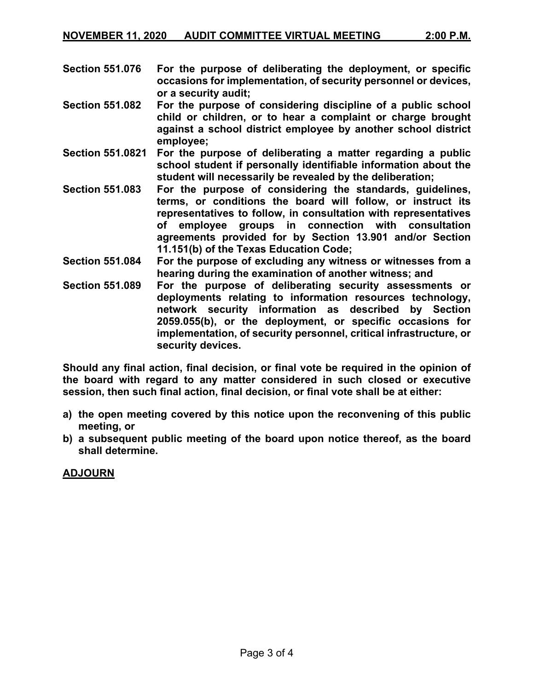- **Section 551.076 For the purpose of deliberating the deployment, or specific occasions for implementation, of security personnel or devices, or a security audit;**
- **Section 551.082 For the purpose of considering discipline of a public school child or children, or to hear a complaint or charge brought against a school district employee by another school district employee;**
- **Section 551.0821 For the purpose of deliberating a matter regarding a public school student if personally identifiable information about the student will necessarily be revealed by the deliberation;**
- **Section 551.083 For the purpose of considering the standards, guidelines, terms, or conditions the board will follow, or instruct its representatives to follow, in consultation with representatives of employee groups in connection with consultation agreements provided for by Section 13.901 and/or Section 11.151(b) of the Texas Education Code;**
- **Section 551.084 For the purpose of excluding any witness or witnesses from a hearing during the examination of another witness; and**
- **Section 551.089 For the purpose of deliberating security assessments or deployments relating to information resources technology, network security information as described by Section 2059.055(b), or the deployment, or specific occasions for implementation, of security personnel, critical infrastructure, or security devices.**

**Should any final action, final decision, or final vote be required in the opinion of the board with regard to any matter considered in such closed or executive session, then such final action, final decision, or final vote shall be at either:**

- **a) the open meeting covered by this notice upon the reconvening of this public meeting, or**
- **b) a subsequent public meeting of the board upon notice thereof, as the board shall determine.**

**ADJOURN**